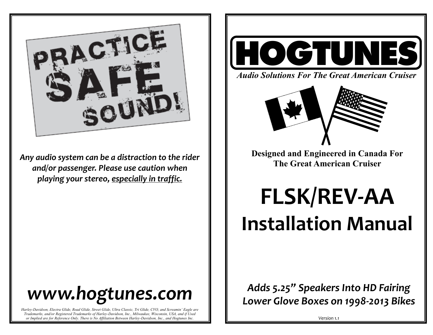

*Any audio system can be a distraction to the rider and/or passenger. Please use caution when playing your stereo, especially in traffic.* 

# *www.hogtunes.com*

*Harley-Davidson, Electra Glide, Road Glide, Street Glide, Ultra Classic, Tri Glide, CVO, and Screamin' Eagle are Trademarks, and/or Registered Trademarks of Harley-Davidson, Inc., Milwaukee, Wisconsin, USA, and if Used or Implied are for Reference Only. There is No Affiliation Between Harley-Davidson, Inc., and Hogtunes Inc.*



*Audio Solutions For The Great American Cruiser*



**Designed and Engineered in Canada For The Great American Cruiser** 

**FLSK/REV-AA Installation Manual**

*Adds 5.25" Speakers Into HD Fairing Lower Glove Boxes on 1998-2013 Bikes*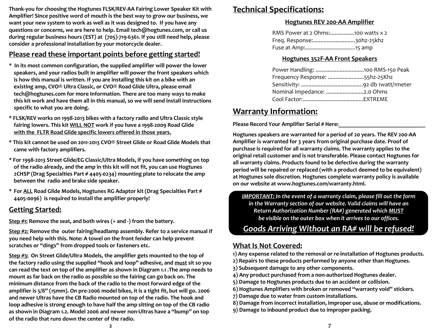**Thank-you for choosing the Hogtunes FLSK/REV-AA Fairing Lower Speaker Kit with Amplifier! Since positive word of mouth is the best way to grow our business, we want your new system to work as well as it was designed to. If you have any questions or concerns, we are here to help. Email tech@hogtunes.com, or call us during regular business hours (EST) at (705)-719-6361. If you still need help, please consider a professional installation by your motorcycle dealer.** 

### **Please read these important points before getting started!**

- **\* In its most common configuration, the supplied amplifier will power the lower speakers, and your radios built in amplifier will power the front speakers which is how this manual is written. If you are installing this kit on a bike with an existing amp, CVO® Ultra Classic, or CVO® Road Glide Ultra, please email tech@hogtunes.com for more Information. There are too many ways to make this kit work and have them all in this manual, so we will send install instructions specific to what you are doing.**
- **\* FLSK/REV works on 1998-2013 bikes with a factory radio and Ultra Classic style fairing lowers. This kit WILL NOT work if you have a 1998-2009 Road Glide with the FLTR Road Glide specific lowers offered in those years.**
- **\* This kit cannot be used on 2011-2013 CVO® Street Glide or Road Glide Models that came with factory amplifiers.**
- **\* For 1998-2013 Street Glide/EG Classic/Ultra Models, if you have something on top of the radio already, and the amp in this kit will not fit, you can use Hogtunes 2CHSP (Drag Specialties Part # 4405-0234) mounting plate to relocate the amp between the radio and brake side speaker.**
- **\* For ALL Road Glide Models, Hogtunes RG Adaptor kit (Drag Specialties Part # 4405-0096) is required to install the amplifier properly!**

### **Getting Started:**

**Step #1: Remove the seat, and both wires (+ and -) from the battery.**

**Step #2: Remove the outer fairing/headlamp assembly. Refer to a service manual if you need help with this. Note: A towel on the front fender can help prevent scratches or "dings" from dropped tools or fasteners etc.** 

**Step #3: On Street Glide/Ultra Models, the amplifier gets mounted to the top of the factory radio using the supplied "hook and loop" adhesive, and must sit so you can read the text on top of the amplifier as shown in Diagram 1.1 .The amp needs to mount as far back on the radio as possible so the fairing can go back on. The minimum distance from the back of the radio to the most forward edge of the amplifier is 5/8" (15mm). On pre-2006 model bikes, it is a tight fit, but will go. 2006 and newer Ultras have the CB Radio mounted on top of the radio. The hook and loop adhesive is strong enough to have half the amp sitting on top of the CB radio as shown in Diagram 1.2. Model 2006 and newer non-Ultras have a "bump" on top of the radio that runs down the center of the radio.** 

## **Technical Specifications:**

#### **Hogtunes REV 200-AA Amplifier**

| RMS Power at 2 Ohms:100 watts x 2 |  |
|-----------------------------------|--|
| Freq. Response:30hz-25khz         |  |
|                                   |  |

#### **Hogtunes 352F-AA Front Speakers**

| Frequency Response: 55hz-25Khz |  |
|--------------------------------|--|
|                                |  |
| Nominal Impedance: 2.0 Ohms    |  |
|                                |  |

## **Warranty Information:**

Please Record Your Amplifier Serial # Here:

**Hogtunes speakers are warranted for a period of 20 years. The REV 200-AA Amplifier is warranted for 3 years from original purchase date. Proof of purchase is required for all warranty claims. The warranty applies to the original retail customer and is not transferable. Please contact Hogtunes for all warranty claims. Products found to be defective during the warranty period will be repaired or replaced (with a product deemed to be equivalent) at Hogtunes sole discretion. Hogtunes complete warranty policy is available on our website at www.hogtunes.com/warranty.html.**

*IMPORTANT: In the event of a warranty claim, please fill out the form in the Warranty section of our website. Valid claims will have an Return Authorization Number (RA#) generated which MUST be visible on the outer box when it arrives to our offices.* 

# *Goods Arriving Without an RA# will be refused!*

## **What Is Not Covered:**

**1) Any expense related to the removal or re-installation of Hogtunes products.**

- **2) Repairs to these products performed by anyone other than Hogtunes.**
- **3) Subsequent damage to any other components.**
- **4) Any product purchased from a non-authorized Hogtunes dealer.**
- **5) Damage to Hogtunes products due to an accident or collision.**
- **6) Hogtunes Amplifiers with broken or removed "warranty void" stickers.**
- **7) Damage due to water from custom installations.**
- **8) Damage from incorrect installation, improper use, abuse or modifications.**
- **9) Damage to inbound product due to improper packing.**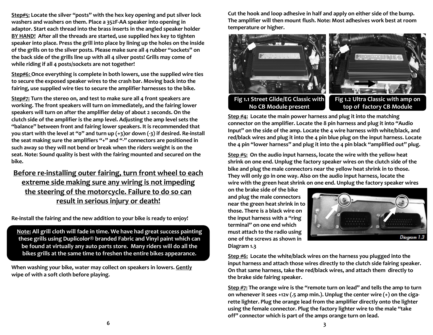**Step#5: Locate the silver "posts" with the hex key opening and put silver lock washers and washers on them. Place a 352F-AA speaker into opening in adaptor. Start each thread into the brass inserts in the angled speaker holder BY HAND! After all the threads are started, use supplied hex key to tighten speaker into place. Press the grill into place by lining up the holes on the inside of the grills on to the silver posts. Please make sure all 4 rubber "sockets" on the back side of the grills line up with all 4 silver posts! Grills may come of while riding if all 4 posts/sockets are not together!**

**Step#6: Once everything is complete in both lowers, use the supplied wire ties to secure the exposed speaker wires to the crash bar. Moving back into the fairing, use supplied wire ties to secure the amplifier harnesses to the bike.** 

**Step#7: Turn the stereo on, and test to make sure all 4 front speakers are working. The front speakers will turn on immediately, and the fairing lower speakers will turn on after the amplifier delay of about 2 seconds. On the clutch side of the amplifier is the amp level. Adjusting the amp level sets the "balance" between front and fairing lower speakers. It is recommended that you start with the level at "0" and turn up (+3)or down (-3) if desired. Re-install the seat making sure the amplifiers "+" and "-" connectors are positioned in such away so they will not bend or break when the riders weight is on the seat. Note: Sound quality is best with the fairing mounted and secured on the bike.** 

## **Before re-installing outer fairing, turn front wheel to each extreme side making sure any wiring is not impeding the steering of the motorcycle. Failure to do so can result in serious injury or death!**

**Re-install the fairing and the new addition to your bike is ready to enjoy!**

**Note: All grill cloth will fade in time. We have had great success painting these grills using Duplicolor® branded Fabric and Vinyl paint which can be found at virtually any auto parts store. Many riders will do all the bikes grills at the same time to freshen the entire bikes appearance.**

**When washing your bike, water may collect on speakers in lowers. Gently wipe of with a soft cloth before playing.**

**Cut the hook and loop adhesive in half and apply on either side of the bump. The amplifier will then mount flush. Note: Most adhesives work best at room temperature or higher.** 



**No CB Module present**

**Fig 1.2 Ultra Classic with amp on top of factory CB Module**

**Step #4: Locate the main power harness and plug it into the matching connector on the amplifier. Locate the 8 pin harness and plug it into "Audio Input" on the side of the amp. Locate the 4 wire harness with white/black, and red/black wires and plug it into the 4 pin blue plug on the input harness. Locate the 4 pin "lower harness" and plug it into the 4 pin black "amplified out" plug.**

**Step #5: On the audio input harness, locate the wire with the yellow heat shrink on one end. Unplug the factory speaker wires on the clutch side of the bike and plug the male connectors near the yellow heat shrink in to those. They will only go in one way. Also on the audio input harness, locate the wire with the green heat shrink on one end. Unplug the factory speaker wires** 

**on the brake side of the bike and plug the male connectors near the green heat shrink in to those. There is a black wire on the input harness with a "ring terminal" on one end which must attach to the radio using one of the screws as shown in Diagram 1.3**



**Step #6: Locate the white/black wires on the harness you plugged into the input harness and attach those wires directly to the clutch side fairing speaker. On that same harness, take the red/black wires, and attach them directly to the brake side fairing speaker.**

**Step #7: The orange wire is the "remote turn on lead" and tells the amp to turn on whenever it sees +12v (.5 amp min.). Unplug the center wire (+) on the cigarette lighter. Plug the orange lead from the amplifier directly onto the lighter using the female connector. Plug the factory lighter wire to the male "take off" connector which is part of the amps orange turn on lead.**